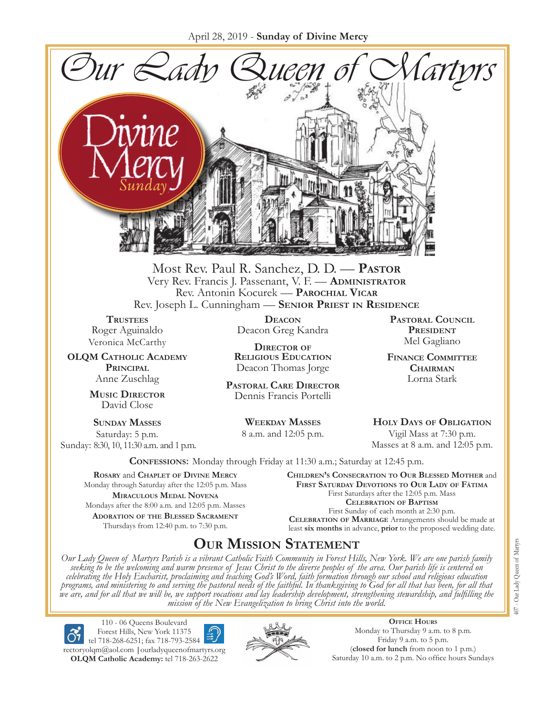April 28, 2019 - **Sunday of Divine Mercy**



Most Rev. Paul R. Sanchez, D. D. — **Pastor** Very Rev. Francis J. Passenant, V. F. — **Administrator** Rev. Antonin Kocurek — **Parochial Vicar** Rev. Joseph L. Cunningham — **Senior Priest in Residence**

**TRUSTEES** Roger Aguinaldo Veronica McCarthy

**OLQM Catholic Academy Principal** Anne Zuschlag

> **Music Director** David Close

**Sunday Masses** Saturday: 5 p.m. Sunday: 8:30, 10, 11:30 a.m. and 1 p.m.

**Deacon** Deacon Greg Kandra

**Director of Religious Education** Deacon Thomas Jorge

**Pastoral Care Director** Dennis Francis Portelli

> **Weekday Masses** 8 a.m. and 12:05 p.m.

**Pastoral Council** PRESIDENT Mel Gagliano

**Finance Committee Chairman** Lorna Stark

**Holy Days of Obligation** Vigil Mass at 7:30 p.m. Masses at 8 a.m. and 12:05 p.m.

**Confessions:** Monday through Friday at 11:30 a.m.; Saturday at 12:45 p.m.

**Rosary** and **Chaplet of Divine Mercy** Monday through Saturday after the 12:05 p.m. Mass **Miraculous Medal Novena** Mondays after the 8:00 a.m. and 12:05 p.m. Masses **Adoration of the Blessed Sacrament** Thursdays from 12:40 p.m. to 7:30 p.m.

**Children's Consecration to Our Blessed Mother** and **First Saturday Devotions to Our Lady of Fátima** First Saturdays after the 12:05 p.m. Mass **Celebration of Baptism** First Sunday of each month at 2:30 p.m. **Celebration of Marriage** Arrangements should be made at least **six months** in advance, **prior** to the proposed wedding date.

# **Our Mission Statement**

Our Lady Queen of Martyrs Parish is a vibrant Catholic Faith Community in Forest Hills, New York. We are one parish family<br>seeking to be the welcoming and warm presence of Jesus Christ to the diverse peoples of the area. O *celebrating the Holy Eucharist, proclaiming and teaching God's Word, faith formation through our school and religious education*  programs, and ministering to and serving the pastoral needs of the faithful. In thanksgiving to God for all that has been, for all that<br>we are, and for all that we will be, we support vocations and lay leadership developme *mission of the New Evangelization to bring Christ into the world.*

110 - 06 Queens Boulevard Forest Hills, New York 11375 tel 718-268-6251; fax 718-793-2584 [rectoryolqm@aol.com](mailto:rectoryolqm@aol.com) **|**[ourladyqueenofmartyrs.org](www.ourladyqueenofmartyrs.org) **OLQM Catholic Academy:** tel 718-263-2622



**Office Hours** Monday to Thursday 9 a.m. to 8 p.m. Friday 9 a.m. to 5 p.m. (**closed for lunch** from noon to 1 p.m.) Saturday 10 a.m. to 2 p.m. No office hours Sundays 407 - Our Lady Queen of Martyrs 407 - Our Lady Queen of Martyrs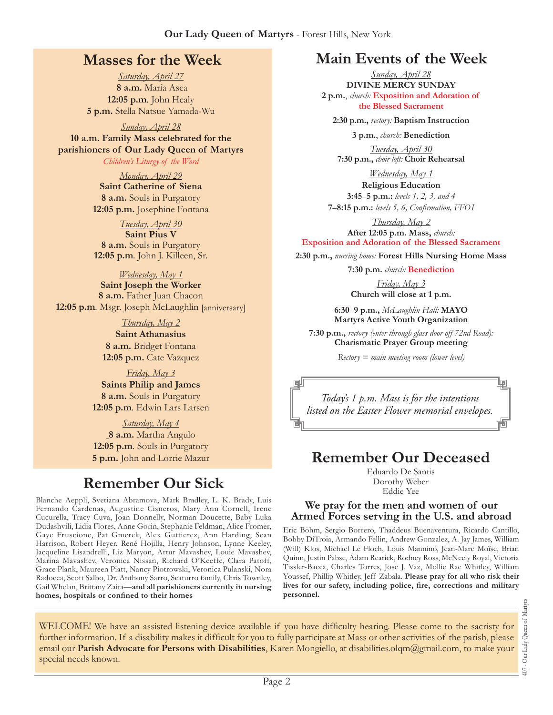## **Masses for the Week**

*Saturday, April 27* **8 a.m.** Maria Asca **12:05 p.m***.* John Healy **5 p.m.** Stella Natsue Yamada-Wu

*Sunday, April 28* **10 a.m. Family Mass celebrated for the parishioners of Our Lady Queen of Martyrs**

*Children's Liturgy of the Word* 

*Monday, April 29* **Saint Catherine of Siena 8 a.m.** Souls in Purgatory **12:05 p.m.** Josephine Fontana

*Tuesday, April 30* **Saint Pius V 8 a.m.** Souls in Purgatory **12:05 p.m***.* John J. Killeen, Sr.

*Wednesday, May 1* **Saint Joseph the Worker 8 a.m.** Father Juan Chacon **12:05 p.m***.* Msgr. Joseph McLaughlin [anniversary]

> *Thursday, May 2* **Saint Athanasius 8 a.m.** Bridget Fontana **12:05 p.m.** Cate Vazquez

*Friday, May 3* **Saints Philip and James 8 a.m.** Souls in Purgatory **12:05 p.m***.* Edwin Lars Larsen

*Saturday, May 4* **8 a.m.** Martha Angulo **12:05 p.m***.* Souls in Purgatory **5 p.m.** John and Lorrie Mazur

# **Remember Our Sick**

Blanche Aeppli, Svetiana Abramova, Mark Bradley, L. K. Brady, Luis Fernando Cardenas, Augustine Cisneros, Mary Ann Cornell, Irene Cucurella, Tracy Cuva, Joan Donnelly, Norman Doucette, Baby Luka Dudashvili, Lidia Flores, Anne Gorin, Stephanie Feldman, Alice Fromer, Gaye Fruscione, Pat Gmerek, Alex Guttierez, Ann Harding, Sean Harrison, Robert Heyer, René Hojilla, Henry Johnson, Lynne Keeley, Jacqueline Lisandrelli, Liz Maryon, Artur Mavashev, Louie Mavashev, Marina Mavashev, Veronica Nissan, Richard O'Keeffe, Clara Patoff, Grace Plank, Maureen Piatt, Nancy Piotrowski, Veronica Pulanski, Nora Radocea, Scott Salbo, Dr. Anthony Sarro, Scaturro family, Chris Townley, Gail Whelan, Brittany Zaita—**and all parishioners currently in nursing homes, hospitals or confined to their homes**

# **Main Events of the Week**

*Sunday, April 28* **Divine Mercy Sunday 2 p.m.**, *church:* **Exposition and Adoration of the Blessed Sacrament**

**2:30 p.m.,** *rectory:* **Baptism Instruction**

**3 p.m.**, *church:* **Benediction**

*Tuesday, April 30* **7:30 p.m.,** *choir loft:* **Choir Rehearsal**

*Wednesday, May 1* **Religious Education 3:45**–**5 p.m.:** *levels 1, 2, 3, and 4* 

**7**–**8:15 p.m.:** *levels 5, 6, Confirmation, FFO  I*

*Thursday, May 2* **After 12:05 p.m. Mass,** *church:*  **Exposition and Adoration of the Blessed Sacrament**

**2:30 p.m.,** *nursing home:* **Forest Hills Nursing Home Mass**

**7:30 p.m.** *church:* **Benediction**

*Friday, May 3* **Church will close at 1 p.m.**

**6:30**–**9 p.m.,** *McLaughlin Hall:* **MAYO Martyrs Active Youth Organization**

**7:30 p.m.,** *rectory (enter through glass door off 72nd Road):* **Charismatic Prayer Group meeting**

*Rectory = main meeting room (lower level)*

*Today's 1 p.m. Mass is for the intentions listed on the Easter Flower memorial envelopes.*

# **Remember Our Deceased**

Eduardo De Santis Dorothy Weber Eddie Yee

#### **We pray for the men and women of our Armed Forces serving in the U.S. and abroad**

Eric Böhm, Sergio Borrero, Thaddeus Buenaventura, Ricardo Cantillo, Bobby DiTroia, Armando Fellin, Andrew Gonzalez, A. Jay James, William (Will) Klos, Michael Le Floch, Louis Mannino, Jean-Marc Moïse, Brian Quinn, Justin Pabse, Adam Rearick, Rodney Ross, McNeely Royal, Victoria Tissler-Bacca, Charles Torres, Jose J. Vaz, Mollie Rae Whitley, William Youssef, Phillip Whitley, Jeff Zabala. **Please pray for all who risk their lives for our safety, including police, fire, corrections and military personnel.**

407 - Our Lady Queen of Martyrs Our Lady Queen of Martyr  $+00$ 

WELCOME! We have an assisted listening device available if you have difficulty hearing. Please come to the sacristy for further information. If a disability makes it difficult for you to fully participate at Mass or other activities of the parish, please email our **Parish Advocate for Persons with Disabilities**, Karen Mongiello, at [disabilities.olqm@gmail.com](mailto:disabilities.olqm@gmail.com), to make your special needs known.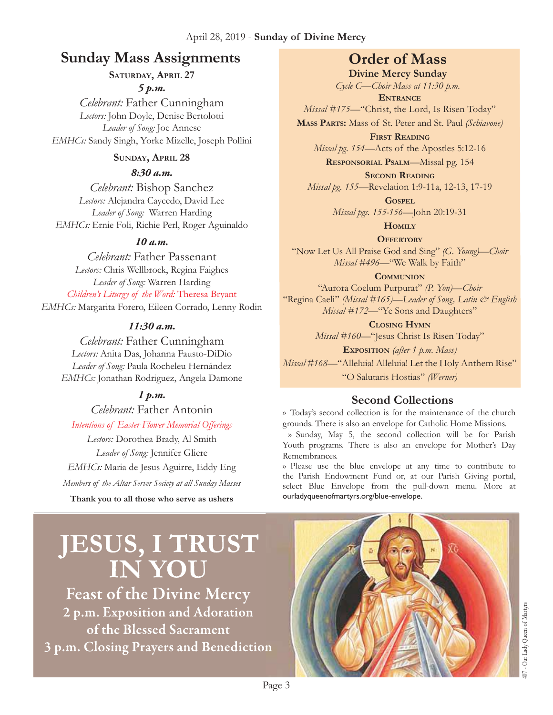#### April 28, 2019 - **Sunday of Divine Mercy**

## **Sunday Mass Assignments Order of Mass**

**Saturday, April 27**

*5 p.m.* 

*Celebrant:* Father Cunningham *Lectors:* John Doyle, Denise Bertolotti *Leader of Song:* Joe Annese *EMHCs:* Sandy Singh, Yorke Mizelle, Joseph Pollini

#### **Sunday, April 28**

*8:30 a.m.* 

*Celebrant:* Bishop Sanchez *Lectors:* Alejandra Caycedo, David Lee *Leader of Song:* Warren Harding *EMHCs:* Ernie Foli, Richie Perl, Roger Aguinaldo

### *10 a.m.*

*Celebrant:* Father Passenant *Lectors:* Chris Wellbrock, Regina Faighes *Leader of Song:* Warren Harding *Children's Liturgy of the Word:* Theresa Bryant *EMHCs:* Margarita Forero, Eileen Corrado, Lenny Rodin

### *11:30 a.m.*

*Celebrant:* Father Cunningham *Lectors:* Anita Das, Johanna Fausto-DiDio *Leader of Song:* Paula Rocheleu Hernández *EMHCs:* Jonathan Rodriguez, Angela Damone

## *1 p.m.*

*Celebrant:* Father Antonin *Intentions of Easter Flower Memorial Offerings Lectors:* Dorothea Brady, Al Smith

*Leader of Song:* Jennifer Gliere *EMHCs:* Maria de Jesus Aguirre, Eddy Eng *Members of the Altar Server Society at all Sunday Masses*

**Thank you to all those who serve as ushers**

**Divine Mercy Sunday** *Cycle C—Choir Mass at 11:30 p.m.* 

**Entrance** *Missal #175—*"Christ, the Lord, Is Risen Today" **Mass Parts:** Mass of St. Peter and St. Paul *(Schiavone)*

**First Reading** *Missal pg. 154—*Acts of the Apostles 5:12-16

**Responsorial Psalm**—Missal pg. 154 **Second Reading**

*Missal pg. 155—*Revelation 1:9-11a, 12-13, 17-19

**Gospel** *Missal pgs. 155-156—*John 20:19-31

**Homily**

**Offertory** "Now Let Us All Praise God and Sing" *(G. Young)—Choir Missal #496—*"We Walk by Faith"

**Communion**

"Aurora Coelum Purpurat" *(P. Yon)—Choir* "Regina Caeli" *(Missal #165)—Leader of Song, Latin & English Missal* #172—"Ye Sons and Daughters"

> **Closing Hymn** *Missal #160*—"Jesus Christ Is Risen Today"

**Exposition** *(after 1 p.m. Mass) Missal #168*—"Alleluia! Alleluia! Let the Holy Anthem Rise" "O Salutaris Hostias" *(Werner)*

## **Second Collections**

›› Today's second collection is for the maintenance of the church grounds. There is also an envelope for Catholic Home Missions.

›› Sunday, May 5, the second collection will be for Parish Youth programs. There is also an envelope for Mother's Day Remembrances.

›› Please use the blue envelope at any time to contribute to the Parish Endowment Fund or, at our Parish Giving portal, select Blue Envelope from the pull-down menu. More at ourladyqueenofmartyrs.org/blue-envelope.

# **JESUS, I TRUST IN YOU**

**Feast of the Divine Mercy** 2 p.m. Exposition and Adoration of the Blessed Sacrament 3 p.m. Closing Prayers and Benediction

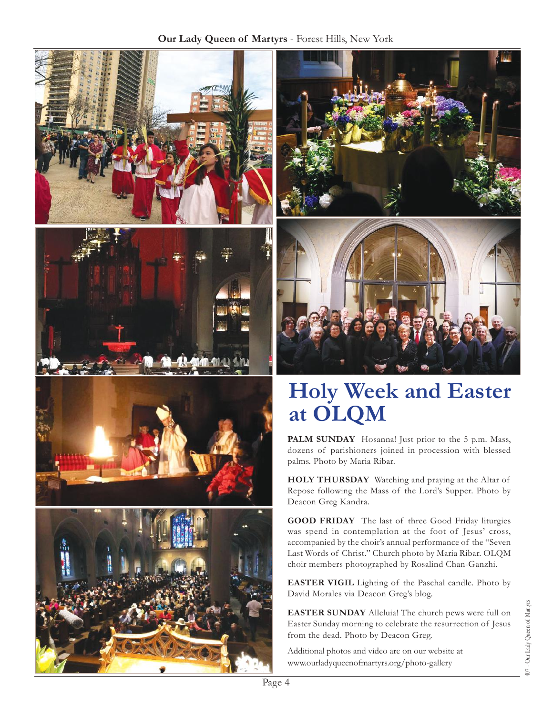



# **Holy Week and Easter at OLQM**

PALM SUNDAY Hosanna! Just prior to the 5 p.m. Mass, dozens of parishioners joined in procession with blessed palms. Photo by Maria Ribar.

HOLY THURSDAY Watching and praying at the Altar of Repose following the Mass of the Lord's Supper. Photo by Deacon Greg Kandra.

**Good Friday** The last of three Good Friday liturgies was spend in contemplation at the foot of Jesus' cross, accompanied by the choir's annual performance of the "Seven Last Words of Christ." Church photo by Maria Ribar. OLQM choir members photographed by Rosalind Chan-Ganzhi.

**Easter Vigil** Lighting of the Paschal candle. Photo by David Morales via Deacon Greg's blog.

**Easter Sunday** Alleluia! The church pews were full on Easter Sunday morning to celebrate the resurrection of Jesus from the dead. Photo by Deacon Greg.

Additional photos and video are on our website at <www.ourladyqueenofmartyrs.org/photo>-gallery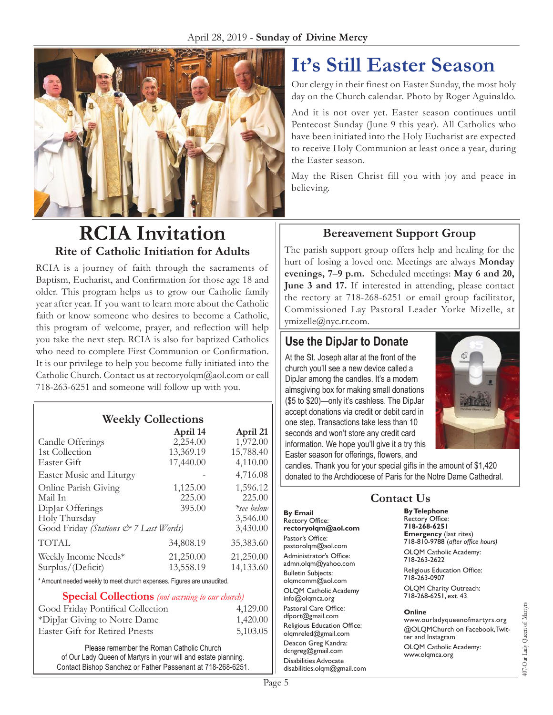

# **RCIA Invitation Rite of Catholic Initiation for Adults**

RCIA is a journey of faith through the sacraments of Baptism, Eucharist, and Confirmation for those age 18 and older. This program helps us to grow our Catholic family year after year. If you want to learn more about the Catholic faith or know someone who desires to become a Catholic, this program of welcome, prayer, and reflection will help you take the next step. RCIA is also for baptized Catholics who need to complete First Communion or Confirmation. It is our privilege to help you become fully initiated into the Catholic Church. Contact us at [rectoryolqm@aol.com](mailto:rectoryolqm@aol.com) or call 718-263-6251 and someone will follow up with you.

## **Weekly Collections**

|                                                                        | April 14  | April 21      |
|------------------------------------------------------------------------|-----------|---------------|
| Candle Offerings                                                       | 2,254.00  | 1,972.00      |
| 1st Collection                                                         | 13,369.19 | 15,788.40     |
| Easter Gift                                                            | 17,440.00 | 4,110.00      |
| Easter Music and Liturgy                                               |           | 4,716.08      |
| Online Parish Giving                                                   | 1,125.00  | 1,596.12      |
| Mail In                                                                | 225.00    | 225.00        |
| Diplar Offerings                                                       | 395.00    | $*$ see below |
| Holy Thursday                                                          |           | 3,546.00      |
| Good Friday (Stations & 7 Last Words)                                  |           | 3,430.00      |
| <b>TOTAL</b>                                                           | 34,808.19 | 35,383.60     |
| Weekly Income Needs*                                                   | 21,250.00 | 21,250.00     |
| Surplus/(Deficit)                                                      | 13,558.19 | 14,133.60     |
| * Amount needed weekly to meet church expenses. Figures are unaudited. |           |               |
|                                                                        |           |               |

#### **Special Collections** *(not accruing to our church)*

| Good Friday Pontifical Collection      | 4,129.00 |
|----------------------------------------|----------|
| *DipJar Giving to Notre Dame           | 1,420.00 |
| <b>Easter Gift for Retired Priests</b> | 5,103.05 |

Please remember the Roman Catholic Church of Our Lady Queen of Martyrs in your will and estate planning. Contact Bishop Sanchez or Father Passenant at 718-268-6251.

# **It's Still Easter Season**

Our clergy in their finest on Easter Sunday, the most holy day on the Church calendar. Photo by Roger Aguinaldo.

And it is not over yet. Easter season continues until Pentecost Sunday (June 9 this year). All Catholics who have been initiated into the Holy Eucharist are expected to receive Holy Communion at least once a year, during the Easter season.

May the Risen Christ fill you with joy and peace in believing.

## **Bereavement Support Group**

The parish support group offers help and healing for the hurt of losing a loved one. Meetings are always **Monday evenings, 7**–**9 p.m.** Scheduled meetings: **May 6 and 20, June 3 and 17.** If interested in attending, please contact the rectory at 718-268-6251 or email group facilitator, Commissioned Lay Pastoral Leader Yorke Mizelle, at [ymizelle@nyc.rr.com.](mailto:ymizelle@nyc.rr.com)

## **Use the DipJar to Donate**

At the St. Joseph altar at the front of the church you'll see a new device called a DipJar among the candles. It's a modern almsgiving box for making small donations (\$5 to \$20)—only it's cashless. The DipJar accept donations via credit or debit card in one step. Transactions take less than 10 seconds and won't store any credit card information. We hope you'll give it a try this Easter season for offerings, flowers, and



candles. Thank you for your special gifts in the amount of \$1,420 donated to the Archdiocese of Paris for the Notre Dame Cathedral.

#### **By Email** Rectory Office: **rectoryolqm@aol.com** Pastor's Office: pastorolqm@aol.com Administrator's Office: admn.olqm@yahoo.com Bulletin Subjects: olqmcomm@aol.com OLQM Catholic Academy info@olqmca.org Pastoral Care Office: dfport@gmail.com Religious Education Office: olqmreled@gmail.com Deacon Greg Kandra: dcngreg@gmail.com Disabilities Advocate [disabilities.olqm@gmail.com](mailto:disabilities.olqm@gmail.com)

## **Contact Us**

**By Telephone** Rectory Office: **718-268-6251 Emergency** (last rites) 718-810-9788 (*after office hours)* OLQM Catholic Academy: 718-263-2622 Religious Education Office: 718-263-0907

OLQM Charity Outreach: 718-268-6251, ext. 43

#### **Online**

www.ourladyqueenofmartyrs.org @OLQMChurch on Facebook, Twitter and Instagram OLQM Catholic Academy: www.olqmca.org